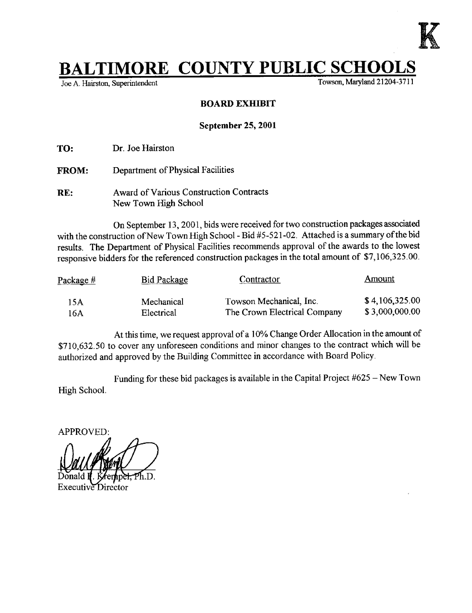

# **TIMORE COUNTY PUBLIC SCHOOLS**<br>on Superintendent<br>Towson, Maryland 21204-3711

Joe A. Hairston, Superintendent

### BOARD EXHIBIT

#### September 25, 2001

TO: Dr. Joe Hairston

FROM: Department of Physical Facilities

RE: Award of Various Construction Contracts New Town High School

On September 13, 2001, bids were received for two construction packages associated with the construction of New Town High School - Bid #5-521-02. Attached is a summary of the bid results . The Department of Physical Facilities recommends approval of the awards to the lowest responsive bidders for the referenced construction packages in the total amount of \$7,106,325.00.

| Package $#$ | Bid Package | <b>Contractor</b>            | Amount         |  |
|-------------|-------------|------------------------------|----------------|--|
| 15A         | Mechanical  | Towson Mechanical, Inc.      | \$4,106,325.00 |  |
| 16A         | Electrical  | The Crown Electrical Company | \$3,000,000.00 |  |

At this time, we request approval of <sup>a</sup> 10% Change Order Allocation in the amount of \$710,632 .50 to cover any unforeseen conditions and minor changes to the contract which will be authorized and approved by the Building Committee in accordance with Board Policy.

High School. Funding for these bid packages is available in the Capital Project #625 - New Town

APPROVED :

viiatu n. iv

Executive Director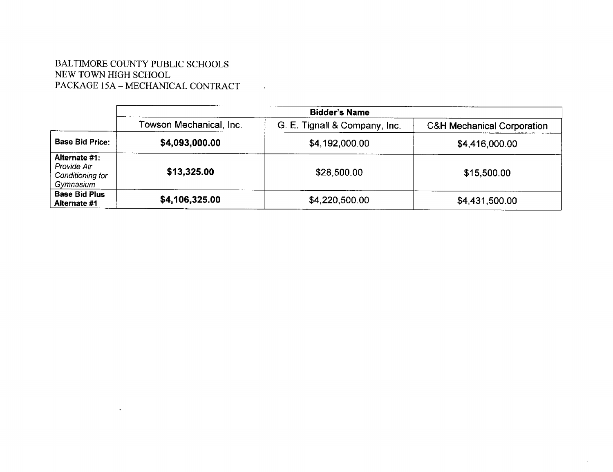## BALTIMORE COUNTY PUBLIC SCHOOLS NEW TOWN HIGH SCHOOL PACKAGE 15A - MECHANICAL CONTRACT

|                                                               | <b>Bidder's Name</b>    |                               |                                       |
|---------------------------------------------------------------|-------------------------|-------------------------------|---------------------------------------|
|                                                               | Towson Mechanical, Inc. | G. E. Tignall & Company, Inc. | <b>C&amp;H Mechanical Corporation</b> |
| <b>Base Bid Price:</b>                                        | \$4,093,000.00          | \$4,192,000.00                | \$4,416,000.00                        |
| Alternate #1:<br>Provide Air<br>Conditioning for<br>Gymnasium | \$13,325.00             | \$28,500.00                   | \$15,500.00                           |
| <b>Base Bid Plus</b><br>Alternate #1                          | \$4,106,325.00          | \$4,220,500.00                | \$4,431,500.00                        |

 $\sim 10^{11}$